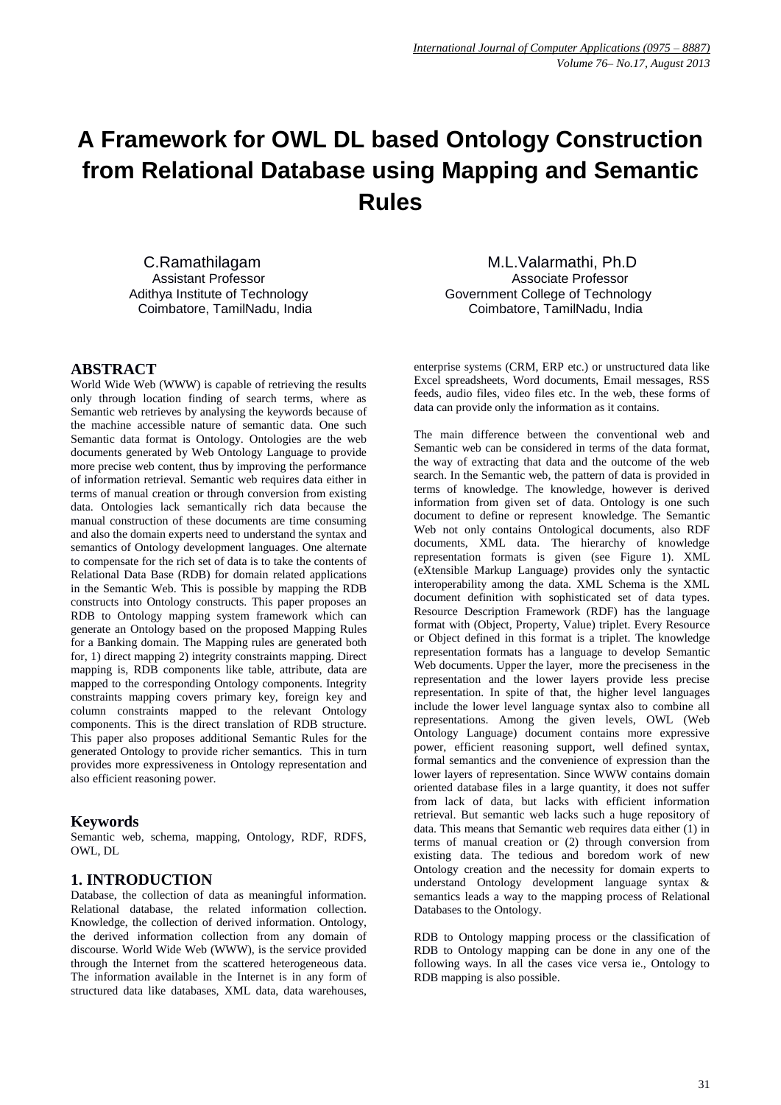# **A Framework for OWL DL based Ontology Construction from Relational Database using Mapping and Semantic Rules**

## **ABSTRACT**

World Wide Web (WWW) is capable of retrieving the results only through location finding of search terms, where as Semantic web retrieves by analysing the keywords because of the machine accessible nature of semantic data. One such Semantic data format is Ontology. Ontologies are the web documents generated by Web Ontology Language to provide more precise web content, thus by improving the performance of information retrieval. Semantic web requires data either in terms of manual creation or through conversion from existing data. Ontologies lack semantically rich data because the manual construction of these documents are time consuming and also the domain experts need to understand the syntax and semantics of Ontology development languages. One alternate to compensate for the rich set of data is to take the contents of Relational Data Base (RDB) for domain related applications in the Semantic Web. This is possible by mapping the RDB constructs into Ontology constructs. This paper proposes an RDB to Ontology mapping system framework which can generate an Ontology based on the proposed Mapping Rules for a Banking domain. The Mapping rules are generated both for, 1) direct mapping 2) integrity constraints mapping. Direct mapping is, RDB components like table, attribute, data are mapped to the corresponding Ontology components. Integrity constraints mapping covers primary key, foreign key and column constraints mapped to the relevant Ontology components. This is the direct translation of RDB structure. This paper also proposes additional Semantic Rules for the generated Ontology to provide richer semantics. This in turn provides more expressiveness in Ontology representation and also efficient reasoning power.

## **Keywords**

Semantic web, schema, mapping, Ontology, RDF, RDFS, OWL, DL

## **1. INTRODUCTION**

Database, the collection of data as meaningful information. Relational database, the related information collection. Knowledge, the collection of derived information. Ontology, the derived information collection from any domain of discourse. World Wide Web (WWW), is the service provided through the Internet from the scattered heterogeneous data. The information available in the Internet is in any form of structured data like databases, XML data, data warehouses,

C.Ramathilagam M.L.Valarmathi, Ph.D Assistant Professor **Associate Professor** Associate Professor Adithya Institute of Technology **Government College of Technology** Coimbatore, TamilNadu, India Coimbatore, TamilNadu, India

> enterprise systems (CRM, ERP etc.) or unstructured data like Excel spreadsheets, Word documents, Email messages, RSS feeds, audio files, video files etc. In the web, these forms of data can provide only the information as it contains.

The main difference between the conventional web and Semantic web can be considered in terms of the data format, the way of extracting that data and the outcome of the web search. In the Semantic web, the pattern of data is provided in terms of knowledge. The knowledge, however is derived information from given set of data. Ontology is one such document to define or represent knowledge. The Semantic Web not only contains Ontological documents, also RDF documents, XML data. The hierarchy of knowledge representation formats is given (see Figure 1). XML (eXtensible Markup Language) provides only the syntactic interoperability among the data. XML Schema is the XML document definition with sophisticated set of data types. Resource Description Framework (RDF) has the language format with (Object, Property, Value) triplet. Every Resource or Object defined in this format is a triplet. The knowledge representation formats has a language to develop Semantic Web documents. Upper the layer, more the preciseness in the representation and the lower layers provide less precise representation. In spite of that, the higher level languages include the lower level language syntax also to combine all representations. Among the given levels, OWL (Web Ontology Language) document contains more expressive power, efficient reasoning support, well defined syntax, formal semantics and the convenience of expression than the lower layers of representation. Since WWW contains domain oriented database files in a large quantity, it does not suffer from lack of data, but lacks with efficient information retrieval. But semantic web lacks such a huge repository of data. This means that Semantic web requires data either (1) in terms of manual creation or (2) through conversion from existing data. The tedious and boredom work of new Ontology creation and the necessity for domain experts to understand Ontology development language syntax & semantics leads a way to the mapping process of Relational Databases to the Ontology.

RDB to Ontology mapping process or the classification of RDB to Ontology mapping can be done in any one of the following ways. In all the cases vice versa ie., Ontology to RDB mapping is also possible.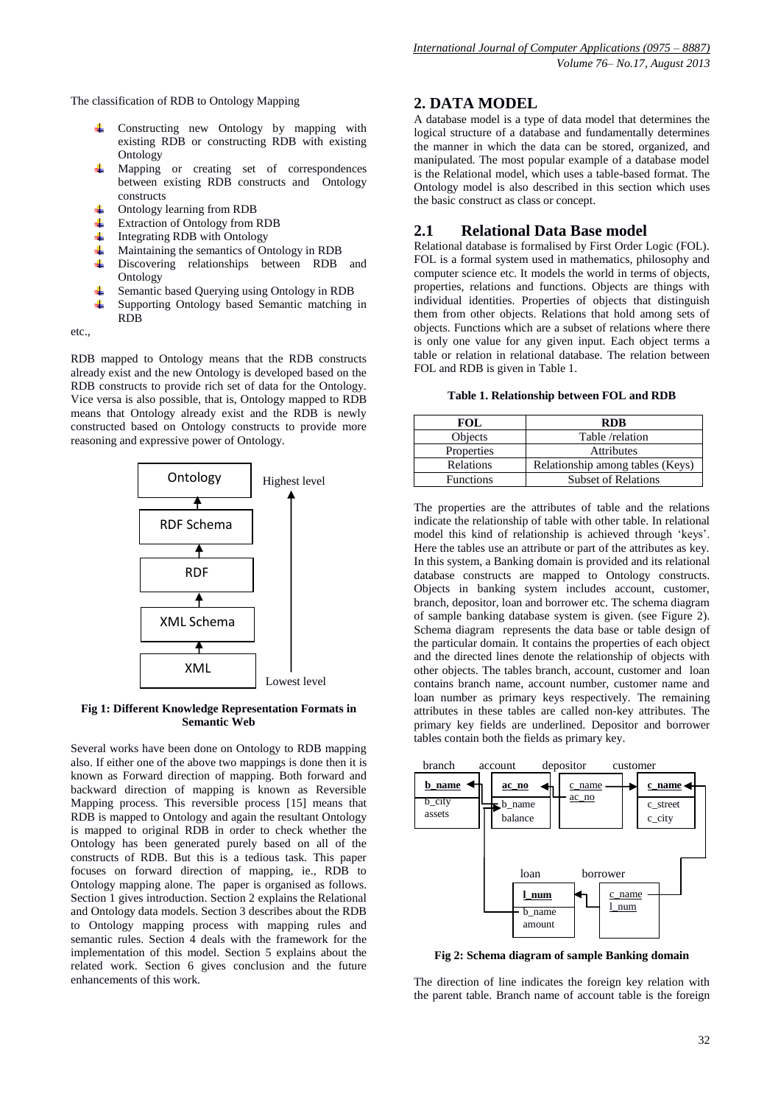The classification of RDB to Ontology Mapping

- Constructing new Ontology by mapping with existing RDB or constructing RDB with existing Ontology
- Mapping or creating set of correspondences 4. between existing RDB constructs and Ontology constructs
- Ontology learning from RDB
- $\Delta \mathbf{r}$ Extraction of Ontology from RDB
- 4 Integrating RDB with Ontology
- Maintaining the semantics of Ontology in RDB 4
- 4 Discovering relationships between RDB and Ontology
- ÷ Semantic based Querying using Ontology in RDB
- Supporting Ontology based Semantic matching in RDB

etc.,

RDB mapped to Ontology means that the RDB constructs already exist and the new Ontology is developed based on the RDB constructs to provide rich set of data for the Ontology. Vice versa is also possible, that is, Ontology mapped to RDB means that Ontology already exist and the RDB is newly constructed based on Ontology constructs to provide more reasoning and expressive power of Ontology.



#### **Fig 1: Different Knowledge Representation Formats in Semantic Web**

Several works have been done on Ontology to RDB mapping also. If either one of the above two mappings is done then it is known as Forward direction of mapping. Both forward and backward direction of mapping is known as Reversible Mapping process. This reversible process [15] means that RDB is mapped to Ontology and again the resultant Ontology is mapped to original RDB in order to check whether the Ontology has been generated purely based on all of the constructs of RDB. But this is a tedious task. This paper focuses on forward direction of mapping, ie., RDB to Ontology mapping alone. The paper is organised as follows. Section 1 gives introduction. Section 2 explains the Relational and Ontology data models. Section 3 describes about the RDB to Ontology mapping process with mapping rules and semantic rules. Section 4 deals with the framework for the implementation of this model. Section 5 explains about the related work. Section 6 gives conclusion and the future enhancements of this work.

# **2. DATA MODEL**

A database model is a type of data model that determines the logical structure of a database and fundamentally determines the manner in which the data can be stored, organized, and manipulated. The most popular example of a database model is the Relational model, which uses a table-based format. The Ontology model is also described in this section which uses the basic construct as class or concept.

## **2.1 Relational Data Base model**

Relational database is formalised by First Order Logic (FOL). FOL is a formal system used in mathematics, philosophy and computer science etc. It models the world in terms of objects, properties, relations and functions. Objects are things with individual identities. Properties of objects that distinguish them from other objects. Relations that hold among sets of objects. Functions which are a subset of relations where there is only one value for any given input. Each object terms a table or relation in relational database. The relation between FOL and RDB is given in Table 1.

#### **Table 1. Relationship between FOL and RDB**

| FOL              | <b>RDB</b>                       |
|------------------|----------------------------------|
| Objects          | Table /relation                  |
| Properties       | <b>Attributes</b>                |
| Relations        | Relationship among tables (Keys) |
| <b>Functions</b> | <b>Subset of Relations</b>       |

The properties are the attributes of table and the relations indicate the relationship of table with other table. In relational model this kind of relationship is achieved through "keys". Here the tables use an attribute or part of the attributes as key. In this system, a Banking domain is provided and its relational database constructs are mapped to Ontology constructs. Objects in banking system includes account, customer, branch, depositor, loan and borrower etc. The schema diagram of sample banking database system is given. (see Figure 2). Schema diagram represents the data base or table design of the particular domain. It contains the properties of each object and the directed lines denote the relationship of objects with other objects. The tables branch, account, customer and loan contains branch name, account number, customer name and loan number as primary keys respectively. The remaining attributes in these tables are called non-key attributes. The primary key fields are underlined. Depositor and borrower tables contain both the fields as primary key.



**Fig 2: Schema diagram of sample Banking domain**

The direction of line indicates the foreign key relation with the parent table. Branch name of account table is the foreign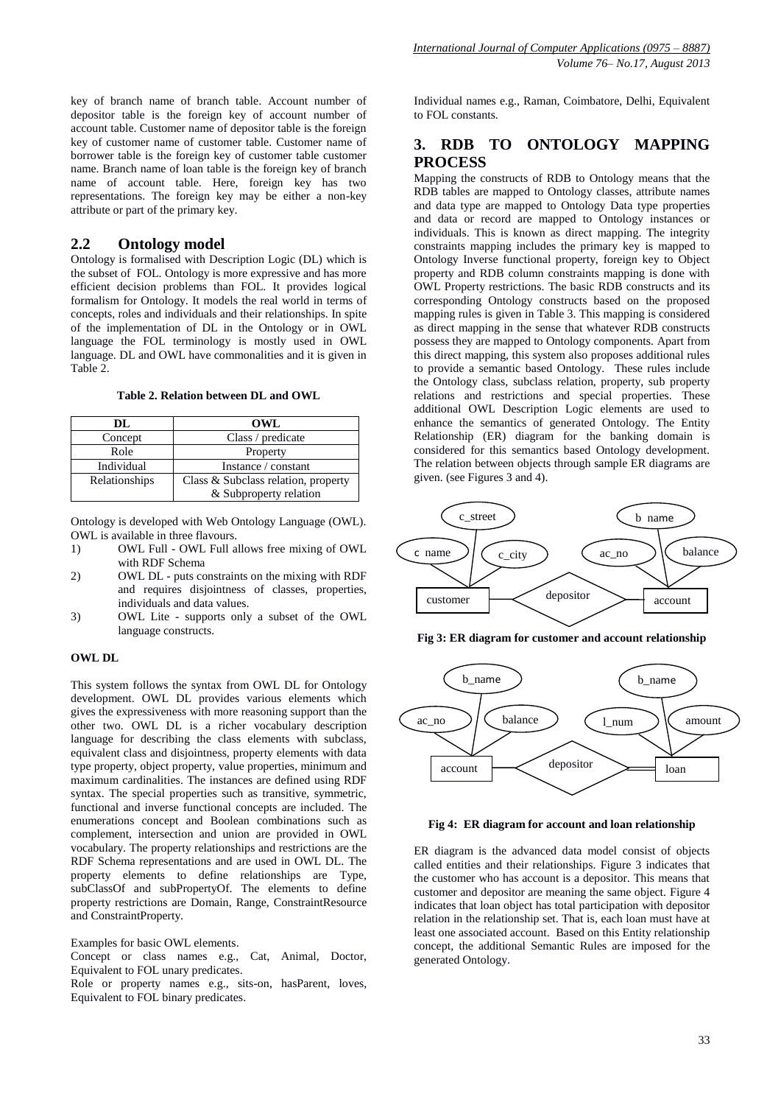key of branch name of branch table. Account number of depositor table is the foreign key of account number of account table. Customer name of depositor table is the foreign key of customer name of customer table. Customer name of borrower table is the foreign key of customer table customer name. Branch name of loan table is the foreign key of branch name of account table. Here, foreign key has two representations. The foreign key may be either a non-key attribute or part of the primary key.

## **2.2 Ontology model**

Ontology is formalised with Description Logic (DL) which is the subset of FOL. Ontology is more expressive and has more efficient decision problems than FOL. It provides logical formalism for Ontology. It models the real world in terms of concepts, roles and individuals and their relationships. In spite of the implementation of DL in the Ontology or in OWL language the FOL terminology is mostly used in OWL language. DL and OWL have commonalities and it is given in Table 2.

#### **Table 2. Relation between DL and OWL**

| DL            | OWL                                 |
|---------------|-------------------------------------|
| Concept       | Class / predicate                   |
| Role          | Property                            |
| Individual    | Instance / constant                 |
| Relationships | Class & Subclass relation, property |
|               | & Subproperty relation              |

Ontology is developed with Web Ontology Language (OWL). OWL is available in three flavours.

- 1) OWL Full OWL Full allows free mixing of OWL with RDF Schema
- 2) OWL DL puts constraints on the mixing with RDF and requires disjointness of classes, properties, individuals and data values.
- 3) OWL Lite supports only a subset of the OWL language constructs.

#### **OWL DL**

This system follows the syntax from OWL DL for Ontology development. OWL DL provides various elements which gives the expressiveness with more reasoning support than the other two. OWL DL is a richer vocabulary description language for describing the class elements with subclass, equivalent class and disjointness, property elements with data type property, object property, value properties, minimum and maximum cardinalities. The instances are defined using RDF syntax. The special properties such as transitive, symmetric, functional and inverse functional concepts are included. The enumerations concept and Boolean combinations such as complement, intersection and union are provided in OWL vocabulary. The property relationships and restrictions are the RDF Schema representations and are used in OWL DL. The property elements to define relationships are Type, subClassOf and subPropertyOf. The elements to define property restrictions are Domain, Range, ConstraintResource and ConstraintProperty.

Examples for basic OWL elements.

Concept or class names e.g., Cat, Animal, Doctor, Equivalent to FOL unary predicates.

Role or property names e.g., sits-on, hasParent, loves, Equivalent to FOL binary predicates.

Individual names e.g., Raman, Coimbatore, Delhi, Equivalent to FOL constants.

# **3. RDB TO ONTOLOGY MAPPING PROCESS**

Mapping the constructs of RDB to Ontology means that the RDB tables are mapped to Ontology classes, attribute names and data type are mapped to Ontology Data type properties and data or record are mapped to Ontology instances or individuals. This is known as direct mapping. The integrity constraints mapping includes the primary key is mapped to Ontology Inverse functional property, foreign key to Object property and RDB column constraints mapping is done with OWL Property restrictions. The basic RDB constructs and its corresponding Ontology constructs based on the proposed mapping rules is given in Table 3. This mapping is considered as direct mapping in the sense that whatever RDB constructs possess they are mapped to Ontology components. Apart from this direct mapping, this system also proposes additional rules to provide a semantic based Ontology. These rules include the Ontology class, subclass relation, property, sub property relations and restrictions and special properties. These additional OWL Description Logic elements are used to enhance the semantics of generated Ontology. The Entity Relationship (ER) diagram for the banking domain is considered for this semantics based Ontology development. The relation between objects through sample ER diagrams are given. (see Figures 3 and 4).



**Fig 3: ER diagram for customer and account relationship**



**Fig 4: ER diagram for account and loan relationship**

ER diagram is the advanced data model consist of objects called entities and their relationships. Figure 3 indicates that the customer who has account is a depositor. This means that customer and depositor are meaning the same object. Figure 4 indicates that loan object has total participation with depositor relation in the relationship set. That is, each loan must have at least one associated account. Based on this Entity relationship concept, the additional Semantic Rules are imposed for the generated Ontology.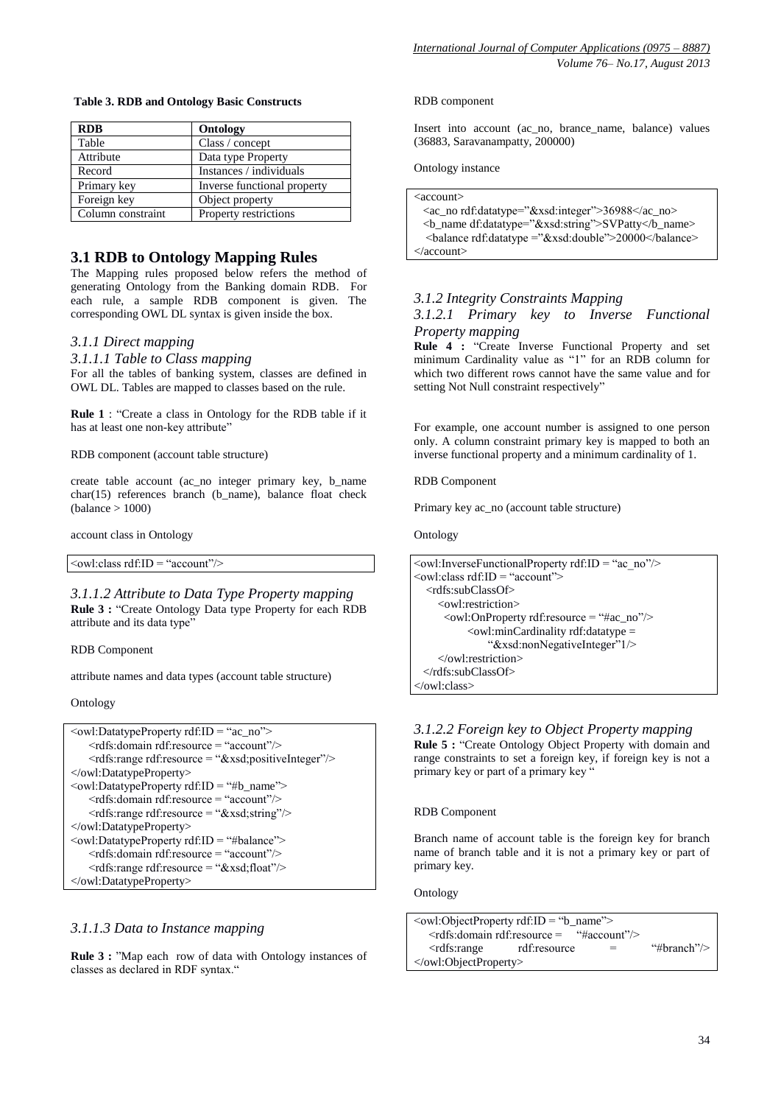#### **Table 3. RDB and Ontology Basic Constructs**

| <b>RDB</b>        | Ontology                    |
|-------------------|-----------------------------|
| Table             | Class / concept             |
| Attribute         | Data type Property          |
| Record            | Instances / individuals     |
| Primary key       | Inverse functional property |
| Foreign key       | Object property             |
| Column constraint | Property restrictions       |

# **3.1 RDB to Ontology Mapping Rules**

The Mapping rules proposed below refers the method of generating Ontology from the Banking domain RDB. For each rule, a sample RDB component is given. The corresponding OWL DL syntax is given inside the box.

## *3.1.1 Direct mapping*

## *3.1.1.1 Table to Class mapping*

For all the tables of banking system, classes are defined in OWL DL. Tables are mapped to classes based on the rule.

**Rule 1** : "Create a class in Ontology for the RDB table if it has at least one non-key attribute"

RDB component (account table structure)

create table account (ac\_no integer primary key, b\_name char(15) references branch (b\_name), balance float check (balance > 1000)

account class in Ontology

 $\langle$  <owl:class rdf:ID = "account"/>

*3.1.1.2 Attribute to Data Type Property mapping* **Rule 3 :** "Create Ontology Data type Property for each RDB attribute and its data type"

#### RDB Component

attribute names and data types (account table structure)

#### Ontology

| $\leq$ owl:DatatypeProperty rdf:ID = "ac no">                                    |
|----------------------------------------------------------------------------------|
| $\leq$ rdfs: domain rdf: resource = "account" />                                 |
| <rdfs:range rdf:resource="&amp;xsd;positiveInteger"></rdfs:range>                |
| $\langle$ /owl:DatatypeProperty>                                                 |
| <owl:datatypeproperty rdf:id="#b_name"></owl:datatypeproperty>                   |
| $\leq$ rdfs: domain rdf: resource = "account" />                                 |
| $\langle \text{rdfs:range rdf:resource} = \text{``}\&\text{xsd:string''}\rangle$ |
|                                                                                  |
| $\leq$ owl:DatatypeProperty rdf:ID = "#balance">                                 |
| $\leq$ rdfs: domain rdf: resource = "account" />                                 |
| $\langle \text{rdfs:range rdf:resource} = \text{``}\&\text{xsd:float''}\rangle$  |
|                                                                                  |

## *3.1.1.3 Data to Instance mapping*

**Rule 3 :** "Map each row of data with Ontology instances of classes as declared in RDF syntax."

#### RDB component

Insert into account (ac\_no, brance\_name, balance) values (36883, Saravanampatty, 200000)

Ontology instance

| $\alpha$ ccount $>$                                    |
|--------------------------------------------------------|
| <ac_no rdf:datatype="&amp;xsd:integer">36988</ac_no>   |
| <b_name df:datatype="&amp;xsd:string">SVPatty</b_name> |
| <br>balance rdf:datatype = "&xsd:double">20000         |
| $\langle$ account $\rangle$                            |

# *3.1.2 Integrity Constraints Mapping*

## *3.1.2.1 Primary key to Inverse Functional Property mapping*

**Rule 4 :** "Create Inverse Functional Property and set minimum Cardinality value as "1" for an RDB column for which two different rows cannot have the same value and for setting Not Null constraint respectively"

For example, one account number is assigned to one person only. A column constraint primary key is mapped to both an inverse functional property and a minimum cardinality of 1.

RDB Component

Primary key ac\_no (account table structure)

Ontology

| $\leq$ owl:InverseFunctionalProperty rdf:ID = "ac no"/> |
|---------------------------------------------------------|
| $\leq$ owl: class rdf: ID = "account">                  |
| <rdfs:subclassof></rdfs:subclassof>                     |
| <owl:restriction></owl:restriction>                     |
| $\langle$ cowl:OnProperty rdf:resource = "#ac_no"/>     |
| $\langle$ cowl:minCardinality rdf:datatype =            |
| "&xsd:nonNegativeInteger"1/>                            |
| $\langle$ /owl:restriction>                             |
| $\langle \text{rdfs:subClassOf}\rangle$                 |
| $\langle$ /owl:class>                                   |

## *3.1.2.2 Foreign key to Object Property mapping*

**Rule 5 :** "Create Ontology Object Property with domain and range constraints to set a foreign key, if foreign key is not a primary key or part of a primary key "

RDB Component

Branch name of account table is the foreign key for branch name of branch table and it is not a primary key or part of primary key.

Ontology

| $\langle$ owl:ObjectProperty rdf:ID = "b_name"> |                                                       |     |                 |
|-------------------------------------------------|-------------------------------------------------------|-----|-----------------|
|                                                 | $\leq$ rdfs: domain rdf: resource = "#account" $\geq$ |     |                 |
| $\langle \text{rdfs:range} \rangle$             | rdf:resource                                          | $=$ | "#branch" $\ge$ |
| $\langle$ /owl:ObjectProperty>                  |                                                       |     |                 |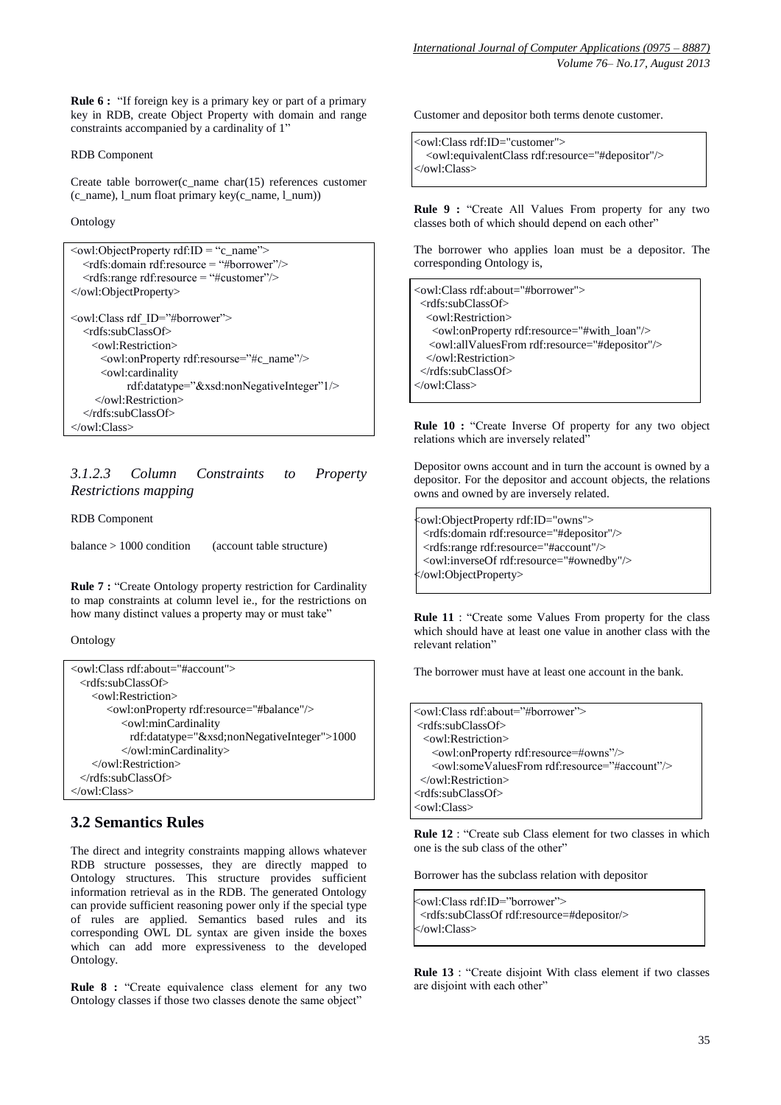**Rule 6 :** "If foreign key is a primary key or part of a primary key in RDB, create Object Property with domain and range constraints accompanied by a cardinality of 1"

#### RDB Component

Create table borrower(c\_name char(15) references customer  $(c_1$ name), l\_num float primary key $(c_1$ name, l\_num))

Ontology

```
<owl:ObjectProperty rdf:ID = "c_name">
   <rdfs:domain rdf:resource = "#borrower"/>
   <rdfs:range rdf:resource = "#customer"/>
</owl:ObjectProperty>
<owl:Class rdf_ID="#borrower">
   <rdfs:subClassOf>
     <owl:Restriction>
       <owl:onProperty rdf:resourse="#c_name"/>
       <owl:cardinality 
            rdf:datatype="&xsd:nonNegativeInteger"1/>
     \langle/owl:Restriction\rangle </rdfs:subClassOf>
</owl:Class>
```
# *3.1.2.3 Column Constraints to Property Restrictions mapping*

#### RDB Component

balance > 1000 condition (account table structure)

**Rule 7 :** "Create Ontology property restriction for Cardinality to map constraints at column level ie., for the restrictions on how many distinct values a property may or must take"

Ontology

```
<owl:Class rdf:about="#account">
  <rdfs:subClassOf>
     <owl:Restriction>
        <owl:onProperty rdf:resource="#balance"/>
           <owl:minCardinality
             rdf:datatype="&xsd;nonNegativeInteger">1000 
           </owl:minCardinality>
     </owl:Restriction>
  </rdfs:subClassOf>
</owl:Class>
```
# **3.2 Semantics Rules**

The direct and integrity constraints mapping allows whatever RDB structure possesses, they are directly mapped to Ontology structures. This structure provides sufficient information retrieval as in the RDB. The generated Ontology can provide sufficient reasoning power only if the special type of rules are applied. Semantics based rules and its corresponding OWL DL syntax are given inside the boxes which can add more expressiveness to the developed Ontology.

**Rule 8 :** "Create equivalence class element for any two Ontology classes if those two classes denote the same object"

Customer and depositor both terms denote customer.

<owl:Class rdf:ID="customer"> <owl:equivalentClass rdf:resource="#depositor"/> </owl:Class>

**Rule 9 :** "Create All Values From property for any two classes both of which should depend on each other"

The borrower who applies loan must be a depositor. The corresponding Ontology is,

<owl:Class rdf:about="#borrower"> <rdfs:subClassOf> <owl:Restriction> <owl:onProperty rdf:resource="#with\_loan"/> <owl:allValuesFrom rdf:resource="#depositor"/> </owl:Restriction> </rdfs:subClassOf> </owl:Class>

**Rule 10 :** "Create Inverse Of property for any two object relations which are inversely related"

Depositor owns account and in turn the account is owned by a depositor. For the depositor and account objects, the relations owns and owned by are inversely related.

<owl:ObjectProperty rdf:ID="owns"> <rdfs:domain rdf:resource="#depositor"/> <rdfs:range rdf:resource="#account"/> <owl:inverseOf rdf:resource="#ownedby"/> </owl:ObjectProperty>

**Rule 11** : "Create some Values From property for the class which should have at least one value in another class with the relevant relation"

The borrower must have at least one account in the bank.

```
<owl:Class rdf:about="#borrower">
<rdfs:subClassOf>
  <owl:Restriction>
    <owl:onProperty rdf:resource=#owns"/>
    <owl:someValuesFrom rdf:resource="#account"/>
  </owl:Restriction>
<rdfs:subClassOf>
<owl:Class>
```
**Rule 12** : "Create sub Class element for two classes in which one is the sub class of the other"

Borrower has the subclass relation with depositor

```
<owl:Class rdf:ID="borrower">
 <rdfs:subClassOf rdf:resource=#depositor/>
</owl:Class>
```
**Rule 13** : "Create disjoint With class element if two classes are disjoint with each other"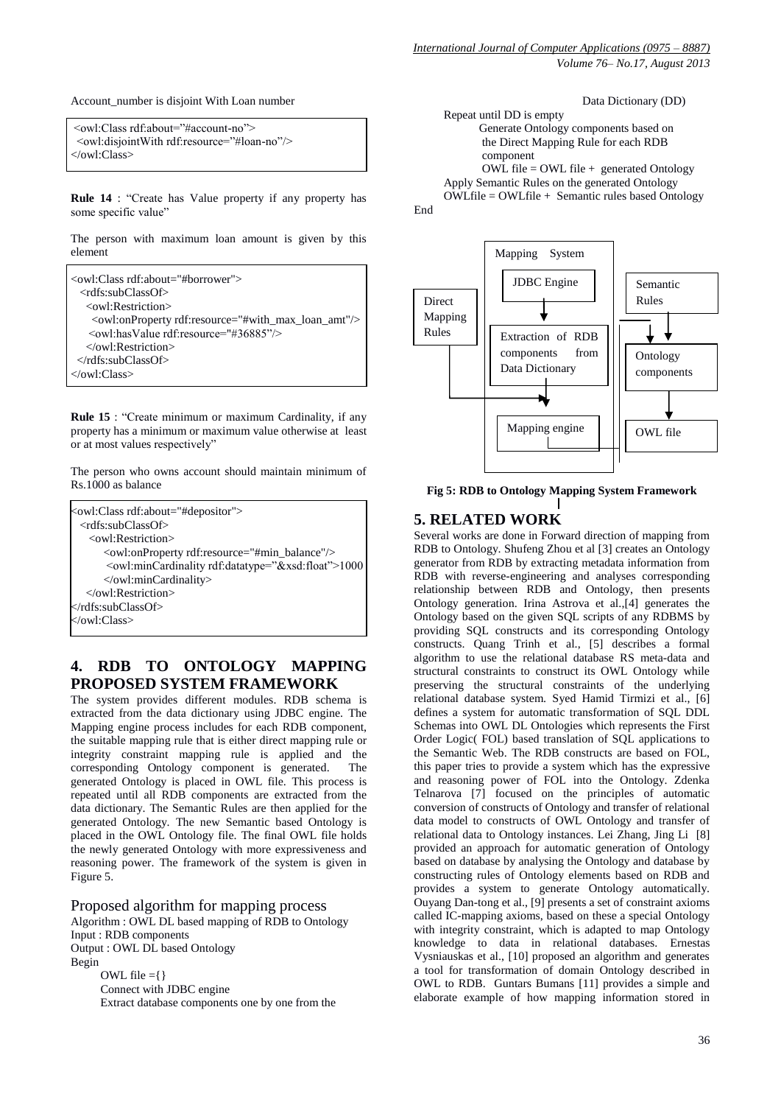Account\_number is disjoint With Loan number

<owl:Class rdf:about="#account-no"> <owl:disjointWith rdf:resource="#loan-no"/> </owl:Class>

**Rule 14** : "Create has Value property if any property has some specific value"

The person with maximum loan amount is given by this element

| <owl:class rdf:about="#borrower"></owl:class>                       |
|---------------------------------------------------------------------|
| $\langle$ rdfs:subClassOf $>$                                       |
| $\langle$ owl:Restriction $>$                                       |
| <owl:onproperty rdf:resource="#with_max_loan_amt"></owl:onproperty> |
| <owl:hasvalue rdf:resource="#36885"></owl:hasvalue>                 |
| $\langle$ /owl:Restriction>                                         |
| $\langle \text{rdfs:subClassOf}\rangle$                             |
| $\langle$ /owl:Class>                                               |
|                                                                     |

**Rule 15** : "Create minimum or maximum Cardinality, if any property has a minimum or maximum value otherwise at least or at most values respectively"

The person who owns account should maintain minimum of Rs.1000 as balance

| <owl:class rdf:about="#depositor"></owl:class>                              |
|-----------------------------------------------------------------------------|
| <rdfs:subclassof></rdfs:subclassof>                                         |
| <owl:restriction></owl:restriction>                                         |
| <owl:onproperty rdf:resource="#min_balance"></owl:onproperty>               |
| <owl:mincardinality rdf:datatype="&amp;xsd:float">1000</owl:mincardinality> |
|                                                                             |
|                                                                             |
| $\lt$ /rdfs:subClassOf>                                                     |
| $\langle$ /owl:Class>                                                       |

# **4. RDB TO ONTOLOGY MAPPING PROPOSED SYSTEM FRAMEWORK**

The system provides different modules. RDB schema is extracted from the data dictionary using JDBC engine. The Mapping engine process includes for each RDB component, the suitable mapping rule that is either direct mapping rule or integrity constraint mapping rule is applied and the corresponding Ontology component is generated. The generated Ontology is placed in OWL file. This process is repeated until all RDB components are extracted from the data dictionary. The Semantic Rules are then applied for the generated Ontology. The new Semantic based Ontology is placed in the OWL Ontology file. The final OWL file holds the newly generated Ontology with more expressiveness and reasoning power. The framework of the system is given in Figure 5.

Proposed algorithm for mapping process

Algorithm : OWL DL based mapping of RDB to Ontology Input : RDB components Output : OWL DL based Ontology Begin OWL file  $=\}$ Connect with JDBC engine Extract database components one by one from the

Data Dictionary (DD)

 Repeat until DD is empty Generate Ontology components based on the Direct Mapping Rule for each RDB component

OWL file = OWL file + generated Ontology Apply Semantic Rules on the generated Ontology

 $OWLfile = OWLfile + Semantic rules based Ontology$ End



**Fig 5: RDB to Ontology Mapping System Framework**

# **5. RELATED WORK**

Several works are done in Forward direction of mapping from RDB to Ontology. Shufeng Zhou et al [3] creates an Ontology generator from RDB by extracting metadata information from RDB with reverse-engineering and analyses corresponding relationship between RDB and Ontology, then presents Ontology generation. Irina Astrova et al.,[4] generates the Ontology based on the given SQL scripts of any RDBMS by providing SQL constructs and its corresponding Ontology constructs. Quang Trinh et al., [5] describes a formal algorithm to use the relational database RS meta-data and structural constraints to construct its OWL Ontology while preserving the structural constraints of the underlying relational database system. Syed Hamid Tirmizi et al., [6] defines a system for automatic transformation of SQL DDL Schemas into OWL DL Ontologies which represents the First Order Logic( FOL) based translation of SQL applications to the Semantic Web. The RDB constructs are based on FOL, this paper tries to provide a system which has the expressive and reasoning power of FOL into the Ontology. Zdenka Telnarova [7] focused on the principles of automatic conversion of constructs of Ontology and transfer of relational data model to constructs of OWL Ontology and transfer of relational data to Ontology instances. Lei Zhang, Jing Li [8] provided an approach for automatic generation of Ontology based on database by analysing the Ontology and database by constructing rules of Ontology elements based on RDB and provides a system to generate Ontology automatically. Ouyang Dan-tong et al., [9] presents a set of constraint axioms called IC-mapping axioms, based on these a special Ontology with integrity constraint, which is adapted to map Ontology knowledge to data in relational databases. Ernestas Vysniauskas et al., [10] proposed an algorithm and generates a tool for transformation of domain Ontology described in OWL to RDB. Guntars Bumans [11] provides a simple and elaborate example of how mapping information stored in